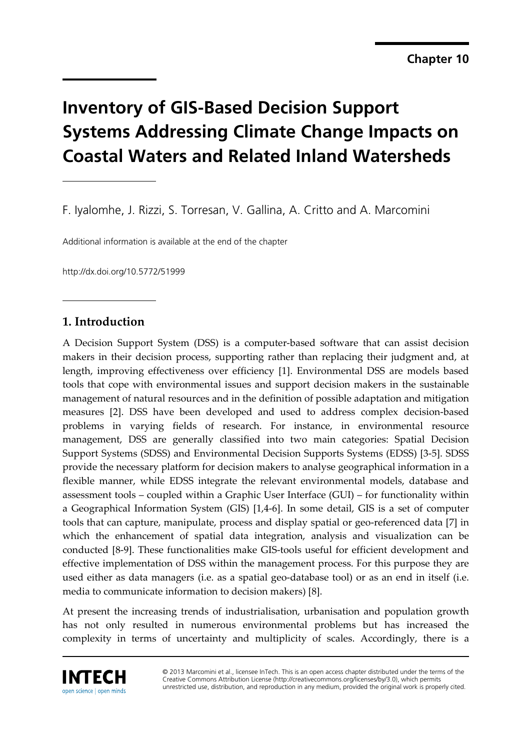# **Inventory of GIS-Based Decision Support Systems Addressing Climate Change Impacts on Coastal Waters and Related Inland Watersheds**

F. Iyalomhe, J. Rizzi, S. Torresan, V. Gallina, A. Critto and A. Marcomini

Additional information is available at the end of the chapter

http://dx.doi.org/10.5772/51999

## **1. Introduction**

A Decision Support System (DSS) is a computer-based software that can assist decision makers in their decision process, supporting rather than replacing their judgment and, at length, improving effectiveness over efficiency [1]. Environmental DSS are models based tools that cope with environmental issues and support decision makers in the sustainable management of natural resources and in the definition of possible adaptation and mitigation measures [2]. DSS have been developed and used to address complex decision-based problems in varying fields of research. For instance, in environmental resource management, DSS are generally classified into two main categories: Spatial Decision Support Systems (SDSS) and Environmental Decision Supports Systems (EDSS) [3-5]. SDSS provide the necessary platform for decision makers to analyse geographical information in a flexible manner, while EDSS integrate the relevant environmental models, database and assessment tools – coupled within a Graphic User Interface (GUI) – for functionality within a Geographical Information System (GIS) [1,4-6]. In some detail, GIS is a set of computer tools that can capture, manipulate, process and display spatial or geo-referenced data [7] in which the enhancement of spatial data integration, analysis and visualization can be conducted [8-9]. These functionalities make GIS-tools useful for efficient development and effective implementation of DSS within the management process. For this purpose they are used either as data managers (i.e. as a spatial geo-database tool) or as an end in itself (i.e. media to communicate information to decision makers) [8].

At present the increasing trends of industrialisation, urbanisation and population growth has not only resulted in numerous environmental problems but has increased the complexity in terms of uncertainty and multiplicity of scales. Accordingly, there is a



© 2013 Marcomini et al., licensee InTech. This is an open access chapter distributed under the terms of the Creative Commons Attribution License (http://creativecommons.org/licenses/by/3.0), which permits unrestricted use, distribution, and reproduction in any medium, provided the original work is properly cited.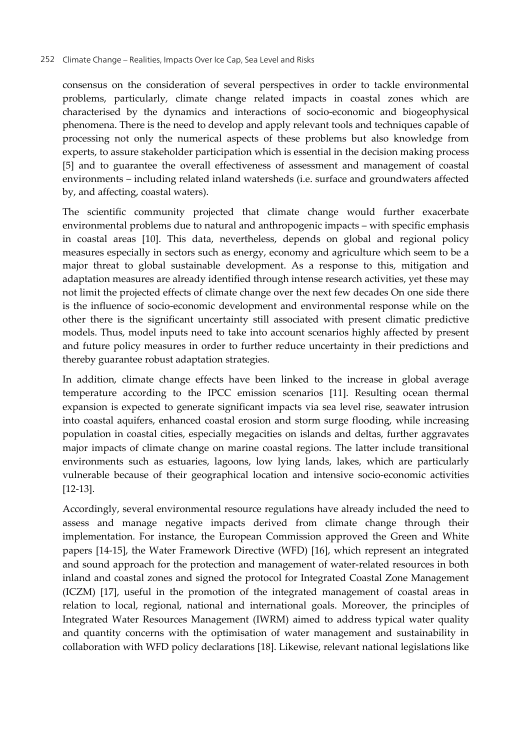consensus on the consideration of several perspectives in order to tackle environmental problems, particularly, climate change related impacts in coastal zones which are characterised by the dynamics and interactions of socio-economic and biogeophysical phenomena. There is the need to develop and apply relevant tools and techniques capable of processing not only the numerical aspects of these problems but also knowledge from experts, to assure stakeholder participation which is essential in the decision making process [5] and to guarantee the overall effectiveness of assessment and management of coastal environments – including related inland watersheds (i.e. surface and groundwaters affected by, and affecting, coastal waters).

The scientific community projected that climate change would further exacerbate environmental problems due to natural and anthropogenic impacts – with specific emphasis in coastal areas [10]. This data, nevertheless, depends on global and regional policy measures especially in sectors such as energy, economy and agriculture which seem to be a major threat to global sustainable development. As a response to this, mitigation and adaptation measures are already identified through intense research activities, yet these may not limit the projected effects of climate change over the next few decades On one side there is the influence of socio-economic development and environmental response while on the other there is the significant uncertainty still associated with present climatic predictive models. Thus, model inputs need to take into account scenarios highly affected by present and future policy measures in order to further reduce uncertainty in their predictions and thereby guarantee robust adaptation strategies.

In addition, climate change effects have been linked to the increase in global average temperature according to the IPCC emission scenarios [11]. Resulting ocean thermal expansion is expected to generate significant impacts via sea level rise, seawater intrusion into coastal aquifers, enhanced coastal erosion and storm surge flooding, while increasing population in coastal cities, especially megacities on islands and deltas, further aggravates major impacts of climate change on marine coastal regions. The latter include transitional environments such as estuaries, lagoons, low lying lands, lakes, which are particularly vulnerable because of their geographical location and intensive socio-economic activities [12-13].

Accordingly, several environmental resource regulations have already included the need to assess and manage negative impacts derived from climate change through their implementation. For instance, the European Commission approved the Green and White papers [14-15], the Water Framework Directive (WFD) [16], which represent an integrated and sound approach for the protection and management of water-related resources in both inland and coastal zones and signed the protocol for Integrated Coastal Zone Management (ICZM) [17], useful in the promotion of the integrated management of coastal areas in relation to local, regional, national and international goals. Moreover, the principles of Integrated Water Resources Management (IWRM) aimed to address typical water quality and quantity concerns with the optimisation of water management and sustainability in collaboration with WFD policy declarations [18]. Likewise, relevant national legislations like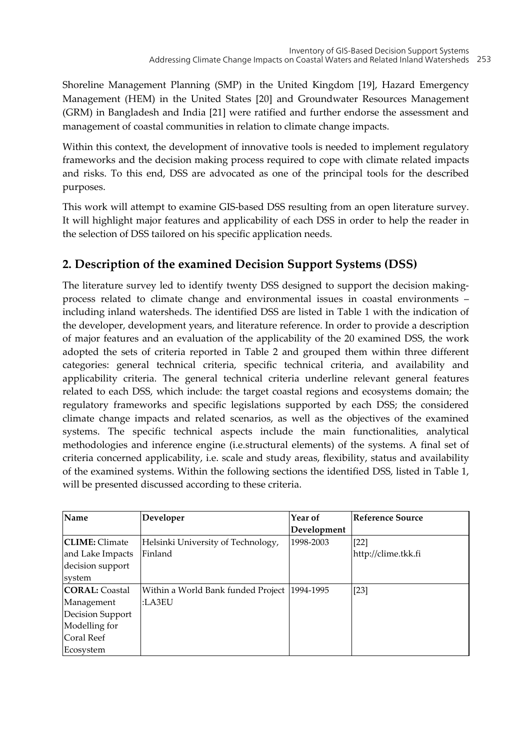Shoreline Management Planning (SMP) in the United Kingdom [19], Hazard Emergency Management (HEM) in the United States [20] and Groundwater Resources Management (GRM) in Bangladesh and India [21] were ratified and further endorse the assessment and management of coastal communities in relation to climate change impacts.

Within this context, the development of innovative tools is needed to implement regulatory frameworks and the decision making process required to cope with climate related impacts and risks. To this end, DSS are advocated as one of the principal tools for the described purposes.

This work will attempt to examine GIS-based DSS resulting from an open literature survey. It will highlight major features and applicability of each DSS in order to help the reader in the selection of DSS tailored on his specific application needs.

# **2. Description of the examined Decision Support Systems (DSS)**

The literature survey led to identify twenty DSS designed to support the decision makingprocess related to climate change and environmental issues in coastal environments – including inland watersheds. The identified DSS are listed in Table 1 with the indication of the developer, development years, and literature reference. In order to provide a description of major features and an evaluation of the applicability of the 20 examined DSS, the work adopted the sets of criteria reported in Table 2 and grouped them within three different categories: general technical criteria, specific technical criteria, and availability and applicability criteria. The general technical criteria underline relevant general features related to each DSS, which include: the target coastal regions and ecosystems domain; the regulatory frameworks and specific legislations supported by each DSS; the considered climate change impacts and related scenarios, as well as the objectives of the examined systems. The specific technical aspects include the main functionalities, analytical methodologies and inference engine (i.e.structural elements) of the systems. A final set of criteria concerned applicability, i.e. scale and study areas, flexibility, status and availability of the examined systems. Within the following sections the identified DSS, listed in Table 1, will be presented discussed according to these criteria.

| Name                   | Developer                          | Year of     | <b>Reference Source</b> |
|------------------------|------------------------------------|-------------|-------------------------|
|                        |                                    | Development |                         |
| <b>CLIME</b> : Climate | Helsinki University of Technology, | 1998-2003   | $[22]$                  |
| and Lake Impacts       | Finland                            |             | http://clime.tkk.fi     |
| decision support       |                                    |             |                         |
| system                 |                                    |             |                         |
| <b>CORAL: Coastal</b>  | Within a World Bank funded Project | 1994-1995   | $[23]$                  |
| Management             | $\pm$ LA3EU                        |             |                         |
| Decision Support       |                                    |             |                         |
| Modelling for          |                                    |             |                         |
| Coral Reef             |                                    |             |                         |
| Ecosystem              |                                    |             |                         |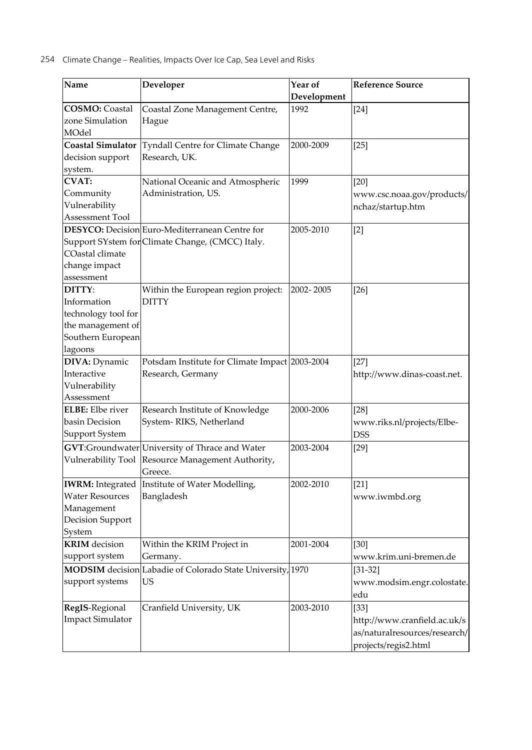| Name                     | Developer                                                  | Year of     | <b>Reference Source</b>       |
|--------------------------|------------------------------------------------------------|-------------|-------------------------------|
|                          |                                                            | Development |                               |
| <b>COSMO</b> : Coastal   | Coastal Zone Management Centre,                            | 1992        | $[24]$                        |
| zone Simulation          | Hague                                                      |             |                               |
| MOdel                    |                                                            |             |                               |
| <b>Coastal Simulator</b> | Tyndall Centre for Climate Change                          | 2000-2009   | $[25]$                        |
| decision support         | Research, UK.                                              |             |                               |
| system.                  |                                                            |             |                               |
| <b>CVAT:</b>             | National Oceanic and Atmospheric                           | 1999        | $[20]$                        |
| Community                | Administration, US.                                        |             | www.csc.noaa.gov/products/    |
| Vulnerability            |                                                            |             | nchaz/startup.htm             |
| Assessment Tool          |                                                            |             |                               |
|                          | <b>DESYCO:</b> Decision Euro-Mediterranean Centre for      | 2005-2010   | $[2]$                         |
|                          | Support SYstem for Climate Change, (CMCC) Italy.           |             |                               |
| COastal climate          |                                                            |             |                               |
| change impact            |                                                            |             |                               |
| assessment               |                                                            |             |                               |
| DITTY:                   | Within the European region project:                        | 2002-2005   | $[26]$                        |
| Information              | <b>DITTY</b>                                               |             |                               |
| technology tool for      |                                                            |             |                               |
| the management of        |                                                            |             |                               |
| Southern European        |                                                            |             |                               |
| lagoons                  |                                                            |             |                               |
| DIVA: Dynamic            | Potsdam Institute for Climate Impact 2003-2004             |             | $[27]$                        |
| Interactive              | Research, Germany                                          |             | http://www.dinas-coast.net.   |
| Vulnerability            |                                                            |             |                               |
| Assessment               |                                                            |             |                               |
| <b>ELBE:</b> Elbe river  | Research Institute of Knowledge                            | 2000-2006   | $[28]$                        |
| basin Decision           | System-RIKS, Netherland                                    |             | www.riks.nl/projects/Elbe-    |
| Support System           |                                                            |             | <b>DSS</b>                    |
| GVT:Groundwater          | University of Thrace and Water                             | 2003-2004   | $[29]$                        |
| Vulnerability Tool       | Resource Management Authority,                             |             |                               |
|                          | Greece.                                                    |             |                               |
| <b>IWRM:</b> Integrated  | Institute of Water Modelling,                              | 2002-2010   | $[21]$                        |
| <b>Water Resources</b>   | Bangladesh                                                 |             | www.iwmbd.org                 |
| Management               |                                                            |             |                               |
| Decision Support         |                                                            |             |                               |
| System                   |                                                            |             |                               |
| <b>KRIM</b> decision     | Within the KRIM Project in                                 | 2001-2004   | [30]                          |
| support system           | Germany.                                                   |             | www.krim.uni-bremen.de        |
|                          | MODSIM decision Labadie of Colorado State University, 1970 |             |                               |
|                          | <b>US</b>                                                  |             | $[31 - 32]$                   |
| support systems          |                                                            |             | www.modsim.engr.colostate.    |
|                          |                                                            |             | edu                           |
| RegIS-Regional           | Cranfield University, UK                                   | 2003-2010   | $[33]$                        |
| <b>Impact Simulator</b>  |                                                            |             | http://www.cranfield.ac.uk/s  |
|                          |                                                            |             | as/naturalresources/research/ |
|                          |                                                            |             | projects/regis2.html          |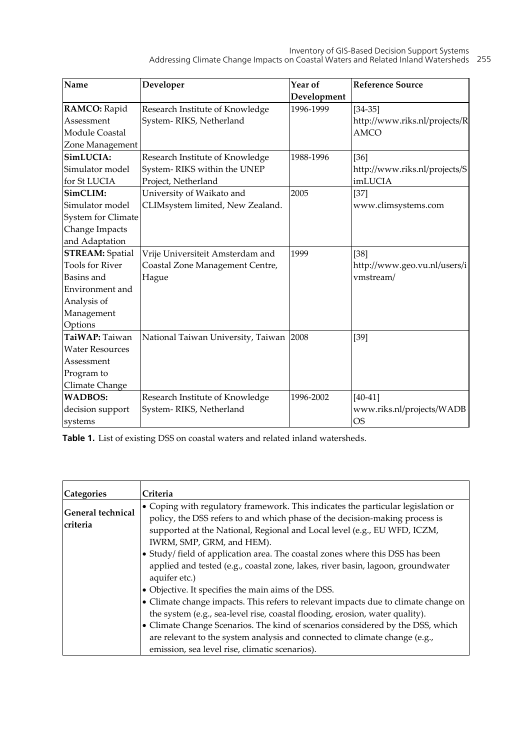Inventory of GIS-Based Decision Support Systems Addressing Climate Change Impacts on Coastal Waters and Related Inland Watersheds 255

| Name                                  | Developer                               | Year of     | Reference Source              |  |  |
|---------------------------------------|-----------------------------------------|-------------|-------------------------------|--|--|
|                                       |                                         | Development |                               |  |  |
| RAMCO: Rapid                          | Research Institute of Knowledge         | 1996-1999   | $[34 - 35]$                   |  |  |
| System-RIKS, Netherland<br>Assessment |                                         |             | http://www.riks.nl/projects/R |  |  |
| Module Coastal                        |                                         |             | <b>AMCO</b>                   |  |  |
| Zone Management                       |                                         |             |                               |  |  |
| SimLUCIA:                             | Research Institute of Knowledge         | 1988-1996   | $[36]$                        |  |  |
| Simulator model                       | System-RIKS within the UNEP             |             | http://www.riks.nl/projects/S |  |  |
| for St LUCIA                          | Project, Netherland                     |             | imLUCIA                       |  |  |
| SimCLIM:                              | University of Waikato and               | 2005        | $[37]$                        |  |  |
| Simulator model                       | CLIMsystem limited, New Zealand.        |             | www.climsystems.com           |  |  |
| System for Climate                    |                                         |             |                               |  |  |
| Change Impacts                        |                                         |             |                               |  |  |
| and Adaptation                        |                                         |             |                               |  |  |
| <b>STREAM: Spatial</b>                | Vrije Universiteit Amsterdam and        | 1999        | $[38]$                        |  |  |
| <b>Tools for River</b>                | Coastal Zone Management Centre,         |             | http://www.geo.vu.nl/users/i  |  |  |
| Basins and                            | Hague                                   |             | vmstream/                     |  |  |
| Environment and                       |                                         |             |                               |  |  |
| Analysis of                           |                                         |             |                               |  |  |
| Management                            |                                         |             |                               |  |  |
| Options                               |                                         |             |                               |  |  |
| TaiWAP: Taiwan                        | National Taiwan University, Taiwan 2008 |             | [39]                          |  |  |
| Water Resources                       |                                         |             |                               |  |  |
| Assessment                            |                                         |             |                               |  |  |
| Program to                            |                                         |             |                               |  |  |
| Climate Change                        |                                         |             |                               |  |  |
| <b>WADBOS:</b>                        | Research Institute of Knowledge         | 1996-2002   | $[40-41]$                     |  |  |
| decision support                      | System-RIKS, Netherland                 |             | www.riks.nl/projects/WADB     |  |  |
| systems                               |                                         |             | <b>OS</b>                     |  |  |

**Table 1.** List of existing DSS on coastal waters and related inland watersheds.

| <b>Categories</b>                    | Criteria                                                                                                                                                                                                                                                                                                                                                                                                                                                                                                                                                                                                                                                                                                                                                                                                                                                                                                       |
|--------------------------------------|----------------------------------------------------------------------------------------------------------------------------------------------------------------------------------------------------------------------------------------------------------------------------------------------------------------------------------------------------------------------------------------------------------------------------------------------------------------------------------------------------------------------------------------------------------------------------------------------------------------------------------------------------------------------------------------------------------------------------------------------------------------------------------------------------------------------------------------------------------------------------------------------------------------|
| <b>General technical</b><br>criteria | • Coping with regulatory framework. This indicates the particular legislation or<br>policy, the DSS refers to and which phase of the decision-making process is<br>supported at the National, Regional and Local level (e.g., EU WFD, ICZM,<br>IWRM, SMP, GRM, and HEM).<br>• Study/ field of application area. The coastal zones where this DSS has been<br>applied and tested (e.g., coastal zone, lakes, river basin, lagoon, groundwater<br>aquifer etc.)<br>• Objective. It specifies the main aims of the DSS.<br>• Climate change impacts. This refers to relevant impacts due to climate change on<br>the system (e.g., sea-level rise, coastal flooding, erosion, water quality).<br>• Climate Change Scenarios. The kind of scenarios considered by the DSS, which<br>are relevant to the system analysis and connected to climate change $(e.g.,$<br>emission, sea level rise, climatic scenarios). |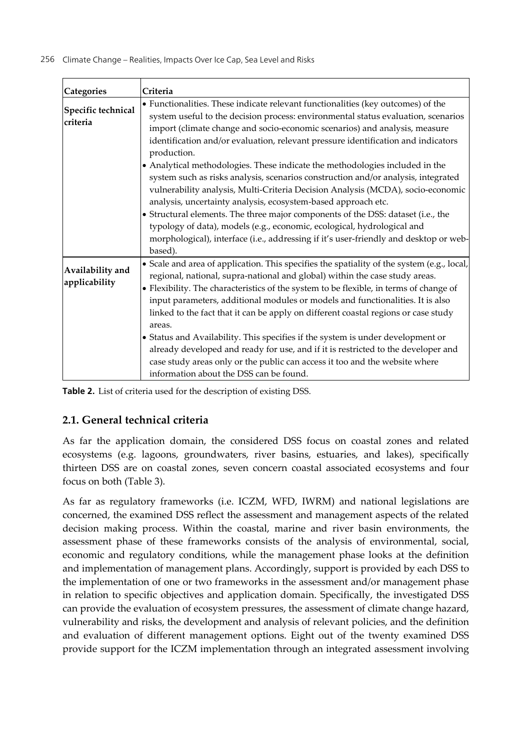| Categories                        | Criteria                                                                                                                                                                                                                                                                                                                                                                                                                                                                                                 |
|-----------------------------------|----------------------------------------------------------------------------------------------------------------------------------------------------------------------------------------------------------------------------------------------------------------------------------------------------------------------------------------------------------------------------------------------------------------------------------------------------------------------------------------------------------|
| Specific technical<br>criteria    | • Functionalities. These indicate relevant functionalities (key outcomes) of the<br>system useful to the decision process: environmental status evaluation, scenarios<br>import (climate change and socio-economic scenarios) and analysis, measure<br>identification and/or evaluation, relevant pressure identification and indicators<br>production.<br>• Analytical methodologies. These indicate the methodologies included in the                                                                  |
|                                   | system such as risks analysis, scenarios construction and/or analysis, integrated<br>vulnerability analysis, Multi-Criteria Decision Analysis (MCDA), socio-economic<br>analysis, uncertainty analysis, ecosystem-based approach etc.<br>• Structural elements. The three major components of the DSS: dataset (i.e., the<br>typology of data), models (e.g., economic, ecological, hydrological and<br>morphological), interface (i.e., addressing if it's user-friendly and desktop or web-<br>based). |
| Availability and<br>applicability | • Scale and area of application. This specifies the spatiality of the system (e.g., local,<br>regional, national, supra-national and global) within the case study areas.<br>• Flexibility. The characteristics of the system to be flexible, in terms of change of<br>input parameters, additional modules or models and functionalities. It is also<br>linked to the fact that it can be apply on different coastal regions or case study<br>areas.                                                    |
|                                   | • Status and Availability. This specifies if the system is under development or<br>already developed and ready for use, and if it is restricted to the developer and<br>case study areas only or the public can access it too and the website where<br>information about the DSS can be found.                                                                                                                                                                                                           |

**Table 2.** List of criteria used for the description of existing DSS.

### **2.1. General technical criteria**

As far the application domain, the considered DSS focus on coastal zones and related ecosystems (e.g. lagoons, groundwaters, river basins, estuaries, and lakes), specifically thirteen DSS are on coastal zones, seven concern coastal associated ecosystems and four focus on both (Table 3).

As far as regulatory frameworks (i.e. ICZM, WFD, IWRM) and national legislations are concerned, the examined DSS reflect the assessment and management aspects of the related decision making process. Within the coastal, marine and river basin environments, the assessment phase of these frameworks consists of the analysis of environmental, social, economic and regulatory conditions, while the management phase looks at the definition and implementation of management plans. Accordingly, support is provided by each DSS to the implementation of one or two frameworks in the assessment and/or management phase in relation to specific objectives and application domain. Specifically, the investigated DSS can provide the evaluation of ecosystem pressures, the assessment of climate change hazard, vulnerability and risks, the development and analysis of relevant policies, and the definition and evaluation of different management options. Eight out of the twenty examined DSS provide support for the ICZM implementation through an integrated assessment involving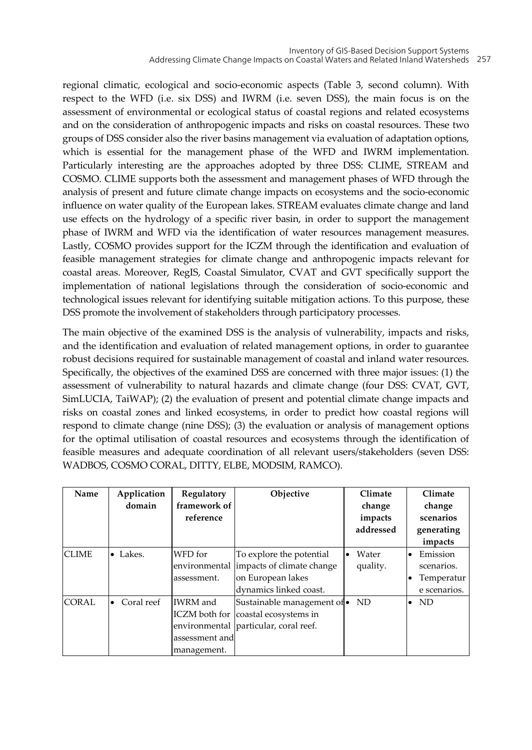regional climatic, ecological and socio-economic aspects (Table 3, second column). With respect to the WFD (i.e. six DSS) and IWRM (i.e. seven DSS), the main focus is on the assessment of environmental or ecological status of coastal regions and related ecosystems and on the consideration of anthropogenic impacts and risks on coastal resources. These two groups of DSS consider also the river basins management via evaluation of adaptation options, which is essential for the management phase of the WFD and IWRM implementation. Particularly interesting are the approaches adopted by three DSS: CLIME, STREAM and COSMO. CLIME supports both the assessment and management phases of WFD through the analysis of present and future climate change impacts on ecosystems and the socio-economic influence on water quality of the European lakes. STREAM evaluates climate change and land use effects on the hydrology of a specific river basin, in order to support the management phase of IWRM and WFD via the identification of water resources management measures. Lastly, COSMO provides support for the ICZM through the identification and evaluation of feasible management strategies for climate change and anthropogenic impacts relevant for coastal areas. Moreover, RegIS, Coastal Simulator, CVAT and GVT specifically support the implementation of national legislations through the consideration of socio-economic and technological issues relevant for identifying suitable mitigation actions. To this purpose, these DSS promote the involvement of stakeholders through participatory processes.

The main objective of the examined DSS is the analysis of vulnerability, impacts and risks, and the identification and evaluation of related management options, in order to guarantee robust decisions required for sustainable management of coastal and inland water resources. Specifically, the objectives of the examined DSS are concerned with three major issues: (1) the assessment of vulnerability to natural hazards and climate change (four DSS: CVAT, GVT, SimLUCIA, TaiWAP); (2) the evaluation of present and potential climate change impacts and risks on coastal zones and linked ecosystems, in order to predict how coastal regions will respond to climate change (nine DSS); (3) the evaluation or analysis of management options for the optimal utilisation of coastal resources and ecosystems through the identification of feasible measures and adequate coordination of all relevant users/stakeholders (seven DSS: WADBOS, COSMO CORAL, DITTY, ELBE, MODSIM, RAMCO).

| Name         | Application<br>domain   | Regulatory<br>framework of<br>reference          | Objective                                                                                                          | Climate<br>change<br>impacts<br>addressed | Climate<br>change<br>scenarios<br>generating<br>impacts        |
|--------------|-------------------------|--------------------------------------------------|--------------------------------------------------------------------------------------------------------------------|-------------------------------------------|----------------------------------------------------------------|
| <b>CLIME</b> | $\bullet$ Lakes.        | WFD for<br>assessment.                           | To explore the potential<br>environmental impacts of climate change<br>on European lakes<br>dynamics linked coast. | Water<br>٠<br>quality.                    | Emission<br>٠<br>scenarios.<br>Temperatur<br>٠<br>e scenarios. |
| <b>CORAL</b> | Coral reef<br>$\bullet$ | <b>IWRM</b> and<br>assessment and<br>management. | Sustainable management of • ND<br>ICZM both for coastal ecosystems in<br>environmental   particular, coral reef.   |                                           | -ND<br>$\bullet$                                               |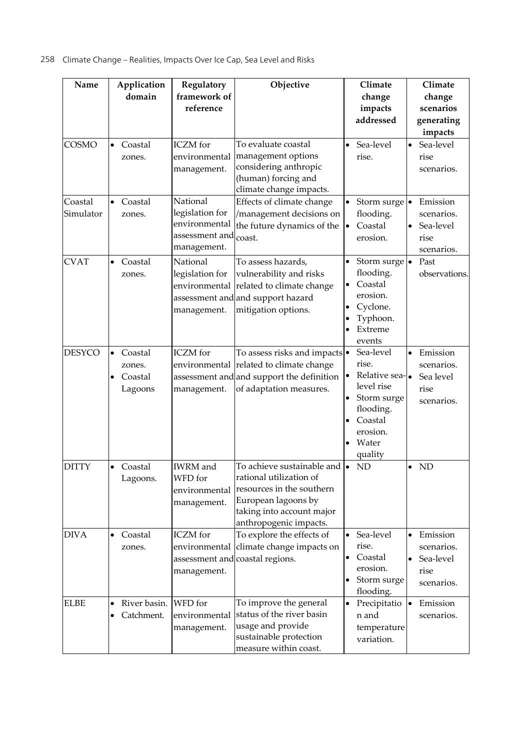| Name                 | Application<br>domain                                | Regulatory<br>framework of<br>reference                                       | Objective                                                                                                                                                                  |           | Climate<br>change<br>impacts<br>addressed                                                                                  |           |                                                           |  |  |  |  |  |  |  |  |  | Climate<br>change<br>scenarios<br>generating<br>impacts |
|----------------------|------------------------------------------------------|-------------------------------------------------------------------------------|----------------------------------------------------------------------------------------------------------------------------------------------------------------------------|-----------|----------------------------------------------------------------------------------------------------------------------------|-----------|-----------------------------------------------------------|--|--|--|--|--|--|--|--|--|---------------------------------------------------------|
| COSMO                | Coastal<br>$\bullet$<br>zones.                       | ICZM for<br>environmental<br>management.                                      | To evaluate coastal<br>management options<br>considering anthropic<br>(human) forcing and<br>climate change impacts.                                                       |           | Sea-level<br>rise.                                                                                                         | $\bullet$ | Sea-level<br>rise<br>scenarios.                           |  |  |  |  |  |  |  |  |  |                                                         |
| Coastal<br>Simulator | Coastal<br>$\bullet$<br>zones.                       | National<br>legislation for<br>environmental<br>assessment and<br>management. | Effects of climate change<br>/management decisions on<br>the future dynamics of the $\vert \bullet \vert$<br>coast.                                                        |           | Storm surge<br>flooding.<br>Coastal<br>erosion.                                                                            | $\bullet$ | Emission<br>scenarios.<br>Sea-level<br>rise<br>scenarios. |  |  |  |  |  |  |  |  |  |                                                         |
| CVAT                 | Coastal<br>zones.                                    | National<br>legislation for<br>environmental<br>assessment and<br>management. | To assess hazards,<br>vulnerability and risks<br>related to climate change<br>and support hazard<br>mitigation options.                                                    |           | Storm surge<br>flooding.<br>Coastal<br>erosion.<br>Cyclone.<br>Typhoon.<br>Extreme<br>events                               |           | Past<br>observations.                                     |  |  |  |  |  |  |  |  |  |                                                         |
| DESYCO               | Coastal<br>$\bullet$<br>zones.<br>Coastal<br>Lagoons | ICZM for<br>environmental<br>assessment and<br>management.                    | To assess risks and impacts .<br>related to climate change<br>and support the definition<br>of adaptation measures.                                                        | $\bullet$ | Sea-level<br>rise.<br>Relative sea-<br>level rise<br>• Storm surge<br>flooding.<br>Coastal<br>erosion.<br>Water<br>quality | $\bullet$ | Emission<br>scenarios.<br>Sea level<br>rise<br>scenarios. |  |  |  |  |  |  |  |  |  |                                                         |
| <b>DITTY</b>         | Coastal<br>$\bullet$<br>Lagoons.                     | <b>IWRM</b> and<br>WFD for<br>environmental<br>management.                    | To achieve sustainable and $\bullet$<br>rational utilization of<br>resources in the southern<br>European lagoons by<br>taking into account major<br>anthropogenic impacts. |           | ND                                                                                                                         |           | $\bullet$ ND                                              |  |  |  |  |  |  |  |  |  |                                                         |
| DIVA                 | Coastal<br>٠<br>zones.                               | <b>ICZM</b> for<br>environmental<br>management.                               | To explore the effects of<br>climate change impacts on<br>assessment and coastal regions.                                                                                  |           | Sea-level<br>rise.<br>Coastal<br>erosion<br>• Storm surge<br>flooding.                                                     | $\bullet$ | Emission<br>scenarios.<br>Sea-level<br>rise<br>scenarios. |  |  |  |  |  |  |  |  |  |                                                         |
| ELBE                 | River basin.<br>$\bullet$<br>Catchment.              | WFD for<br>environmental<br>management.                                       | To improve the general<br>status of the river basin<br>usage and provide<br>sustainable protection<br>measure within coast.                                                | $\bullet$ | Precipitatio  <br>n and<br>temperature<br>variation.                                                                       |           | Emission<br>scenarios.                                    |  |  |  |  |  |  |  |  |  |                                                         |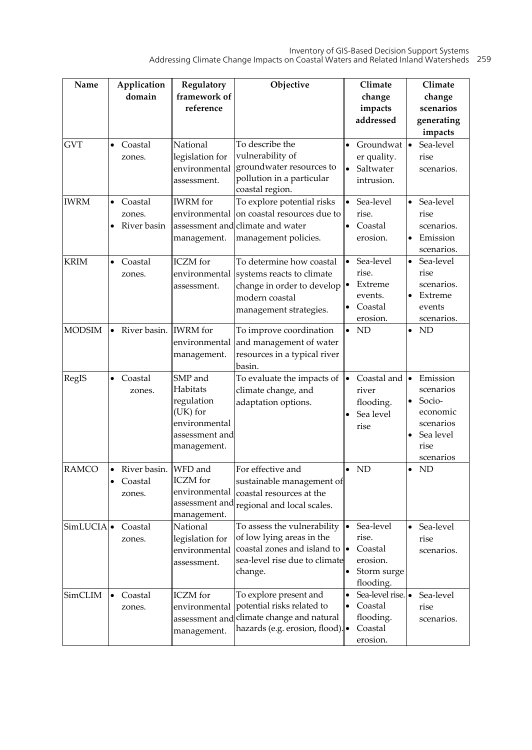Inventory of GIS-Based Decision Support Systems Addressing Climate Change Impacts on Coastal Waters and Related Inland Watersheds 259

| Name           | Application<br>domain                          | Regulatory<br>framework of<br>reference                                                           | Objective                                                                                                                           |                                     | Climate<br>change<br>impacts<br>addressed                             |           | Climate<br>change<br>scenarios<br>generating<br>impacts                                    |
|----------------|------------------------------------------------|---------------------------------------------------------------------------------------------------|-------------------------------------------------------------------------------------------------------------------------------------|-------------------------------------|-----------------------------------------------------------------------|-----------|--------------------------------------------------------------------------------------------|
| <b>GVT</b>     | Coastal<br>$\bullet$<br>zones.                 | National<br>legislation for<br>environmental<br>assessment.                                       | To describe the<br>vulnerability of<br>groundwater resources to<br>pollution in a particular<br>coastal region.                     | $\bullet$<br>$\bullet$              | Groundwat<br>er quality.<br>Saltwater<br>intrusion.                   | $\bullet$ | Sea-level<br>rise<br>scenarios.                                                            |
| <b>IWRM</b>    | Coastal<br>zones.<br>River basin               | <b>IWRM</b> for<br>environmental<br>assessment and<br>management.                                 | To explore potential risks<br>on coastal resources due to<br>climate and water<br>management policies.                              | $\bullet$                           | Sea-level<br>rise.<br>Coastal<br>erosion.                             |           | Sea-level<br>rise<br>scenarios.<br>• Emission<br>scenarios.                                |
| <b>KRIM</b>    | Coastal<br>$\bullet$<br>zones.                 | <b>ICZM</b> for<br>environmental<br>assessment.                                                   | To determine how coastal<br>systems reacts to climate<br>change in order to develop<br>modern coastal<br>management strategies.     | $\bullet$<br>$\bullet$<br>$\bullet$ | Sea-level<br>rise.<br>Extreme<br>events.<br>Coastal<br>erosion.       | $\bullet$ | Sea-level<br>rise<br>scenarios.<br>Extreme<br>events<br>scenarios.                         |
| <b>MODSIM</b>  | River basin.                                   | <b>IWRM</b> for<br>environmental<br>management.                                                   | To improve coordination<br>and management of water<br>resources in a typical river<br>basin.                                        | $\bullet$                           | <b>ND</b>                                                             | $\bullet$ | <b>ND</b>                                                                                  |
| RegIS          | Coastal<br>zones.                              | SMP and<br>Habitats<br>regulation<br>$(UK)$ for<br>environmental<br>assessment and<br>management. | To evaluate the impacts of<br>climate change, and<br>adaptation options.                                                            |                                     | Coastal and<br>river<br>flooding.<br>Sea level<br>rise                | $\bullet$ | Emission<br>scenarios<br>Socio-<br>economic<br>scenarios<br>Sea level<br>rise<br>scenarios |
| <b>RAMCO</b>   | River basin.<br>Coastal<br>$\bullet$<br>zones. | WFD and<br><b>ICZM</b> for<br>environmental<br>assessment and<br>management.                      | For effective and<br>sustainable management of<br>coastal resources at the<br>regional and local scales.                            |                                     | <b>ND</b>                                                             | $\bullet$ | <b>ND</b>                                                                                  |
| SimLUCIA.      | Coastal<br>zones.                              | National<br>legislation for<br>environmental<br>assessment.                                       | To assess the vulnerability<br>of low lying areas in the<br>coastal zones and island to<br>sea-level rise due to climate<br>change. | $\bullet$<br>I۰                     | Sea-level<br>rise.<br>Coastal<br>erosion.<br>Storm surge<br>flooding. | $\bullet$ | Sea-level<br>rise<br>scenarios.                                                            |
| <b>SimCLIM</b> | Coastal<br>zones.                              | <b>ICZM</b> for<br>environmental<br>assessment and<br>management.                                 | To explore present and<br>potential risks related to<br>climate change and natural<br>hazards (e.g. erosion, flood).                | $\bullet$                           | Sea-level rise.<br>Coastal<br>flooding.<br>Coastal<br>erosion.        |           | Sea-level<br>rise<br>scenarios.                                                            |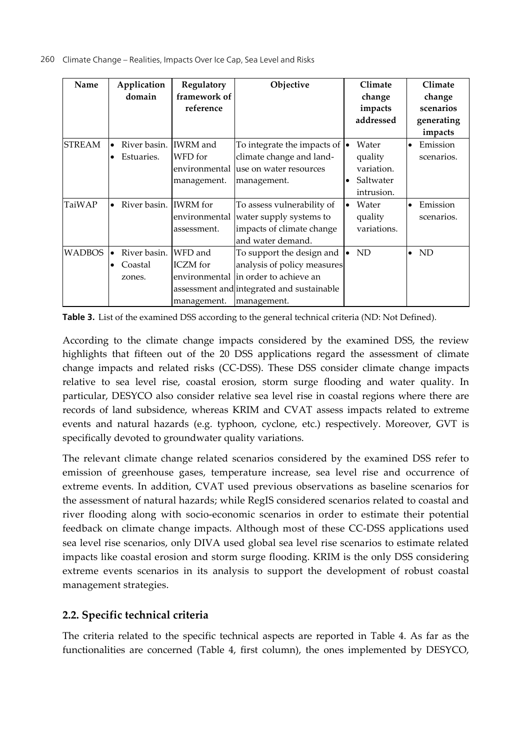260 Climate Change – Realities, Impacts Over Ice Cap, Sea Level and Risks

| Name          | Application<br>domain     | Regulatory<br>framework of<br>reference | Objective                                 |           | Climate<br>change<br>impacts<br>addressed |   | Climate<br>change<br>scenarios<br>generating |
|---------------|---------------------------|-----------------------------------------|-------------------------------------------|-----------|-------------------------------------------|---|----------------------------------------------|
|               |                           |                                         |                                           |           |                                           |   | impacts                                      |
| <b>STREAM</b> | River basin.<br>$\bullet$ | <b>IWRM</b> and                         | To integrate the impacts of $\bullet$     |           | Water                                     | ٠ | Emission                                     |
|               | Estuaries.<br>٠           | WFD for                                 | climate change and land-                  |           | quality                                   |   | scenarios.                                   |
|               |                           |                                         | environmental luse on water resources     |           | variation.                                |   |                                              |
|               |                           | management.                             | management.                               | $\bullet$ | Saltwater                                 |   |                                              |
|               |                           |                                         |                                           |           | intrusion.                                |   |                                              |
| TaiWAP        | River basin.<br>$\bullet$ | <b>IWRM</b> for                         | To assess vulnerability of                | $\bullet$ | Water                                     |   | Emission                                     |
|               |                           | environmental                           | water supply systems to                   |           | quality                                   |   | scenarios.                                   |
|               |                           | assessment.                             | impacts of climate change                 |           | variations.                               |   |                                              |
|               |                           |                                         | and water demand.                         |           |                                           |   |                                              |
| <b>WADBOS</b> | River basin.              | WFD and                                 | To support the design and                 |           | ND                                        |   | $\bullet$ ND                                 |
|               | Coastal<br>٠              | <b>ICZM</b> for                         | analysis of policy measures               |           |                                           |   |                                              |
|               | zones.                    |                                         | environmental in order to achieve an      |           |                                           |   |                                              |
|               |                           |                                         | assessment and integrated and sustainable |           |                                           |   |                                              |
|               |                           | management.                             | management.                               |           |                                           |   |                                              |

**Table 3.** List of the examined DSS according to the general technical criteria (ND: Not Defined).

According to the climate change impacts considered by the examined DSS, the review highlights that fifteen out of the 20 DSS applications regard the assessment of climate change impacts and related risks (CC-DSS). These DSS consider climate change impacts relative to sea level rise, coastal erosion, storm surge flooding and water quality. In particular, DESYCO also consider relative sea level rise in coastal regions where there are records of land subsidence, whereas KRIM and CVAT assess impacts related to extreme events and natural hazards (e.g. typhoon, cyclone, etc.) respectively. Moreover, GVT is specifically devoted to groundwater quality variations.

The relevant climate change related scenarios considered by the examined DSS refer to emission of greenhouse gases, temperature increase, sea level rise and occurrence of extreme events. In addition, CVAT used previous observations as baseline scenarios for the assessment of natural hazards; while RegIS considered scenarios related to coastal and river flooding along with socio-economic scenarios in order to estimate their potential feedback on climate change impacts. Although most of these CC-DSS applications used sea level rise scenarios, only DIVA used global sea level rise scenarios to estimate related impacts like coastal erosion and storm surge flooding. KRIM is the only DSS considering extreme events scenarios in its analysis to support the development of robust coastal management strategies.

### **2.2. Specific technical criteria**

The criteria related to the specific technical aspects are reported in Table 4. As far as the functionalities are concerned (Table 4, first column), the ones implemented by DESYCO,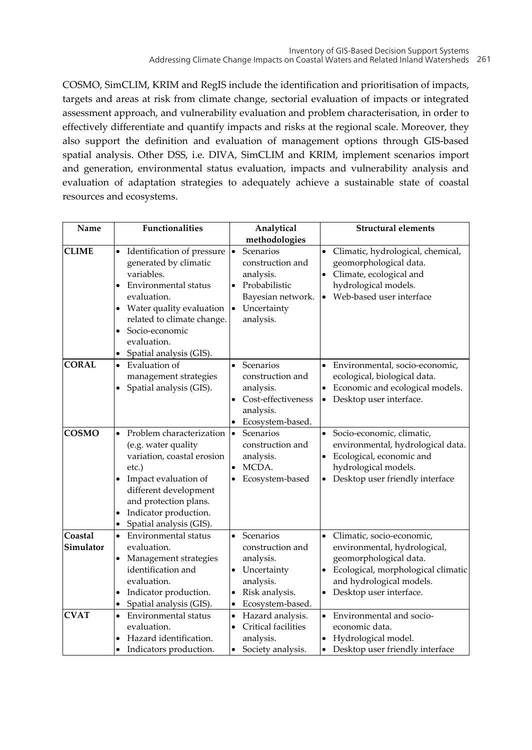COSMO, SimCLIM, KRIM and RegIS include the identification and prioritisation of impacts, targets and areas at risk from climate change, sectorial evaluation of impacts or integrated assessment approach, and vulnerability evaluation and problem characterisation, in order to effectively differentiate and quantify impacts and risks at the regional scale. Moreover, they also support the definition and evaluation of management options through GIS-based spatial analysis. Other DSS, i.e. DIVA, SimCLIM and KRIM, implement scenarios import and generation, environmental status evaluation, impacts and vulnerability analysis and evaluation of adaptation strategies to adequately achieve a sustainable state of coastal resources and ecosystems.

| Name                 | <b>Functionalities</b>                                                                                                                                                                                                                              | Analytical                                                                                                                             | <b>Structural elements</b>                                                                                                                                                                              |
|----------------------|-----------------------------------------------------------------------------------------------------------------------------------------------------------------------------------------------------------------------------------------------------|----------------------------------------------------------------------------------------------------------------------------------------|---------------------------------------------------------------------------------------------------------------------------------------------------------------------------------------------------------|
|                      |                                                                                                                                                                                                                                                     | methodologies                                                                                                                          |                                                                                                                                                                                                         |
| <b>CLIME</b>         | Identification of pressure<br>٠<br>generated by climatic<br>variables.<br>Environmental status<br>evaluation.<br>Water quality evaluation<br>related to climate change.<br>Socio-economic<br>evaluation.<br>Spatial analysis (GIS).                 | Scenarios<br>$\bullet$<br>construction and<br>analysis.<br>Probabilistic<br>Bayesian network.<br>Uncertainty<br>analysis.              | Climatic, hydrological, chemical,<br>geomorphological data.<br>Climate, ecological and<br>hydrological models.<br>Web-based user interface<br>$\bullet$                                                 |
| <b>CORAL</b>         | Evaluation of<br>$\bullet$<br>management strategies<br>Spatial analysis (GIS).                                                                                                                                                                      | Scenarios<br>$\bullet$<br>construction and<br>analysis.<br>Cost-effectiveness<br>$\bullet$<br>analysis.<br>Ecosystem-based.            | Environmental, socio-economic,<br>$\bullet$<br>ecological, biological data.<br>Economic and ecological models.<br>Desktop user interface.<br>$\bullet$                                                  |
| COSMO                | Problem characterization<br>$\bullet$<br>(e.g. water quality<br>variation, coastal erosion<br>$etc.$ )<br>Impact evaluation of<br>٠<br>different development<br>and protection plans.<br>Indicator production.<br>٠<br>Spatial analysis (GIS).<br>٠ | Scenarios<br>I۰<br>construction and<br>analysis.<br>MCDA.<br>$\bullet$<br>Ecosystem-based                                              | Socio-economic, climatic,<br>٠<br>environmental, hydrological data.<br>Ecological, economic and<br>٠<br>hydrological models.<br>Desktop user friendly interface<br>$\bullet$                            |
| Coastal<br>Simulator | Environmental status<br>$\bullet$<br>evaluation.<br>Management strategies<br>٠<br>identification and<br>evaluation.<br>Indicator production.<br>٠<br>Spatial analysis (GIS).<br>$\bullet$                                                           | Scenarios<br>$\bullet$<br>construction and<br>analysis.<br>Uncertainty<br>analysis.<br>Risk analysis.<br>Ecosystem-based.<br>$\bullet$ | Climatic, socio-economic,<br>٠<br>environmental, hydrological,<br>geomorphological data.<br>Ecological, morphological climatic<br>$\bullet$<br>and hydrological models.<br>Desktop user interface.<br>٠ |
| <b>CVAT</b>          | Environmental status<br>evaluation.<br>Hazard identification.<br>Indicators production.<br>٠                                                                                                                                                        | Hazard analysis.<br>$\bullet$<br>Critical facilities<br>analysis.<br>Society analysis.<br>$\bullet$                                    | Environmental and socio-<br>$\bullet$<br>economic data.<br>Hydrological model.<br>Desktop user friendly interface<br>$\bullet$                                                                          |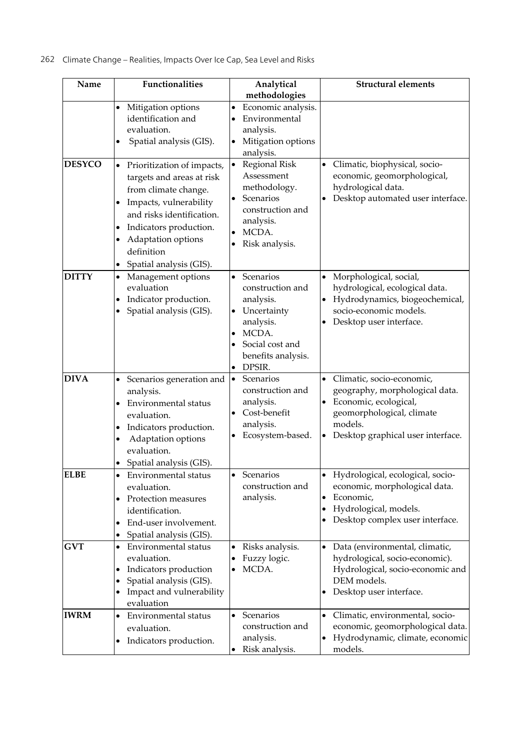| Name          | Functionalities                                                                                                                                                                                                                                   | Analytical<br>methodologies                                                                                                                                 | <b>Structural elements</b>                                                                                                                                        |
|---------------|---------------------------------------------------------------------------------------------------------------------------------------------------------------------------------------------------------------------------------------------------|-------------------------------------------------------------------------------------------------------------------------------------------------------------|-------------------------------------------------------------------------------------------------------------------------------------------------------------------|
|               | Mitigation options<br>٠<br>identification and<br>evaluation.<br>Spatial analysis (GIS).<br>٠                                                                                                                                                      | Economic analysis.<br>$\bullet$<br>Environmental<br>$\bullet$<br>analysis.<br>• Mitigation options<br>analysis.                                             |                                                                                                                                                                   |
| <b>DESYCO</b> | Prioritization of impacts,<br>$\bullet$<br>targets and areas at risk<br>from climate change.<br>Impacts, vulnerability<br>٠<br>and risks identification.<br>Indicators production.<br>Adaptation options<br>definition<br>Spatial analysis (GIS). | Regional Risk<br>$\bullet$<br>Assessment<br>methodology.<br>• Scenarios<br>construction and<br>analysis.<br>MCDA.<br>Risk analysis.                         | Climatic, biophysical, socio-<br>economic, geomorphological,<br>hydrological data.<br>Desktop automated user interface.                                           |
| <b>DITTY</b>  | Management options<br>$\bullet$<br>evaluation<br>Indicator production.<br>Spatial analysis (GIS).<br>$\bullet$                                                                                                                                    | Scenarios<br>٠<br>construction and<br>analysis.<br>• Uncertainty<br>analysis.<br>MCDA.<br>Social cost and<br>$\bullet$<br>benefits analysis.<br>DPSIR.<br>٠ | Morphological, social,<br>hydrological, ecological data.<br>Hydrodynamics, biogeochemical,<br>socio-economic models.<br>Desktop user interface.                   |
| <b>DIVA</b>   | Scenarios generation and<br>analysis.<br>Environmental status<br>$\bullet$<br>evaluation.<br>Indicators production.<br>٠<br>Adaptation options<br>٠<br>evaluation.<br>Spatial analysis (GIS).                                                     | Scenarios<br>construction and<br>analysis.<br>Cost-benefit<br>analysis.<br>Ecosystem-based.                                                                 | Climatic, socio-economic,<br>geography, morphological data.<br>Economic, ecological,<br>geomorphological, climate<br>models.<br>Desktop graphical user interface. |
| <b>ELBE</b>   | $\bullet$<br>Environmental status<br>evaluation.<br>Protection measures<br>٠<br>identification.<br>End-user involvement.<br>$\bullet$<br>Spatial analysis (GIS).<br>$\bullet$                                                                     | Scenarios<br>$\bullet$<br>construction and<br>analysis.                                                                                                     | Hydrological, ecological, socio-<br>economic, morphological data.<br>Economic,<br>٠<br>Hydrological, models.<br>Desktop complex user interface.                   |
| $_{\rm GVT}$  | Environmental status<br>$\bullet$<br>evaluation.<br>Indicators production<br>Spatial analysis (GIS).<br>$\bullet$<br>Impact and vulnerability<br>$\bullet$<br>evaluation                                                                          | Risks analysis.<br>Fuzzy logic.<br>MCDA.                                                                                                                    | • Data (environmental, climatic,<br>hydrological, socio-economic).<br>Hydrological, socio-economic and<br>DEM models.<br>• Desktop user interface.                |
| <b>IWRM</b>   | Environmental status<br>$\bullet$<br>evaluation.<br>Indicators production.<br>$\bullet$                                                                                                                                                           | Scenarios<br>$\bullet$<br>construction and<br>analysis.<br>Risk analysis.                                                                                   | Climatic, environmental, socio-<br>$\bullet$<br>economic, geomorphological data.<br>Hydrodynamic, climate, economic<br>٠<br>models.                               |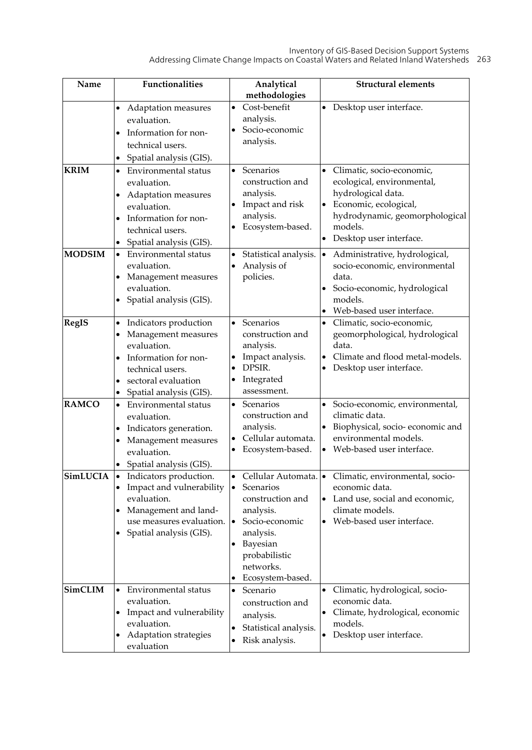Inventory of GIS-Based Decision Support Systems Addressing Climate Change Impacts on Coastal Waters and Related Inland Watersheds 263

| Name          | <b>Functionalities</b>                                  | Analytical                         | <b>Structural elements</b>                                            |
|---------------|---------------------------------------------------------|------------------------------------|-----------------------------------------------------------------------|
|               |                                                         | methodologies                      |                                                                       |
|               | Adaptation measures<br>٠                                | Cost-benefit<br>$\bullet$          | Desktop user interface.<br>٠                                          |
|               | evaluation.                                             | analysis.                          |                                                                       |
|               | Information for non-                                    | Socio-economic                     |                                                                       |
|               | technical users.                                        | analysis.                          |                                                                       |
|               | Spatial analysis (GIS).                                 |                                    |                                                                       |
| <b>KRIM</b>   | $\bullet$<br>Environmental status                       | $\bullet$<br>Scenarios             | Climatic, socio-economic,<br>$\bullet$                                |
|               | evaluation.                                             | construction and                   | ecological, environmental,                                            |
|               | Adaptation measures                                     | analysis.                          | hydrological data.                                                    |
|               | evaluation.                                             | Impact and risk                    | Economic, ecological,<br>$\bullet$                                    |
|               | Information for non-                                    | analysis.                          | hydrodynamic, geomorphological                                        |
|               | technical users.                                        | Ecosystem-based.                   | models.                                                               |
|               | Spatial analysis (GIS).                                 |                                    | • Desktop user interface.                                             |
| <b>MODSIM</b> | Environmental status<br>$\bullet$                       | Statistical analysis.<br>$\bullet$ | Administrative, hydrological,<br>٠                                    |
|               | evaluation.                                             | Analysis of                        | socio-economic, environmental                                         |
|               | Management measures                                     | policies.                          | data.                                                                 |
|               | evaluation.                                             |                                    | $\bullet$<br>Socio-economic, hydrological<br>models.                  |
|               | Spatial analysis (GIS).<br>٠                            |                                    | Web-based user interface.                                             |
| <b>RegIS</b>  | Indicators production<br>$\bullet$                      | $\bullet$<br>Scenarios             | Climatic, socio-economic,<br>$\bullet$                                |
|               | Management measures<br>$\bullet$                        | construction and                   | geomorphological, hydrological                                        |
|               | evaluation.                                             | analysis.                          | data.                                                                 |
|               | Information for non-                                    | Impact analysis.                   | • Climate and flood metal-models.                                     |
|               | technical users.                                        | $\bullet$<br>DPSIR.                | $\bullet$<br>Desktop user interface.                                  |
|               | sectoral evaluation<br>$\bullet$                        | Integrated                         |                                                                       |
|               | Spatial analysis (GIS).                                 | assessment.                        |                                                                       |
| <b>RAMCO</b>  | Environmental status<br>$\bullet$                       | Scenarios<br>$\bullet$             | Socio-economic, environmental,                                        |
|               | evaluation.                                             | construction and                   | climatic data.                                                        |
|               | Indicators generation.                                  | analysis.<br>Cellular automata.    | $\bullet$<br>Biophysical, socio-economic and<br>environmental models. |
|               | Management measures<br>$\bullet$                        | Ecosystem-based.<br>$\bullet$      | • Web-based user interface.                                           |
|               | evaluation.                                             |                                    |                                                                       |
| SimLUCIA      | Spatial analysis (GIS).<br>Indicators production.<br>I۰ | Cellular Automata. •<br>$\bullet$  | Climatic, environmental, socio-                                       |
|               | Impact and vulnerability<br>٠                           | $\bullet$<br>Scenarios             | economic data.                                                        |
|               | evaluation.                                             | construction and                   | • Land use, social and economic,                                      |
|               | • Management and land-                                  | analysis.                          | climate models.                                                       |
|               | use measures evaluation.                                | Socio-economic<br>$\bullet$        | • Web-based user interface.                                           |
|               | Spatial analysis (GIS).                                 | analysis.                          |                                                                       |
|               |                                                         | Bayesian                           |                                                                       |
|               |                                                         | probabilistic                      |                                                                       |
|               |                                                         | networks.                          |                                                                       |
|               |                                                         | Ecosystem-based.<br>$\bullet$      |                                                                       |
| SimCLIM       | Environmental status<br>$\bullet$<br>evaluation.        | Scenario<br>$\bullet$              | Climatic, hydrological, socio-<br>economic data.                      |
|               | Impact and vulnerability<br>٠                           | construction and                   | Climate, hydrological, economic<br>$\bullet$                          |
|               | evaluation.                                             | analysis.                          | models.                                                               |
|               | Adaptation strategies                                   | Statistical analysis.              | Desktop user interface.<br>$\bullet$                                  |
|               | evaluation                                              | $\bullet$<br>Risk analysis.        |                                                                       |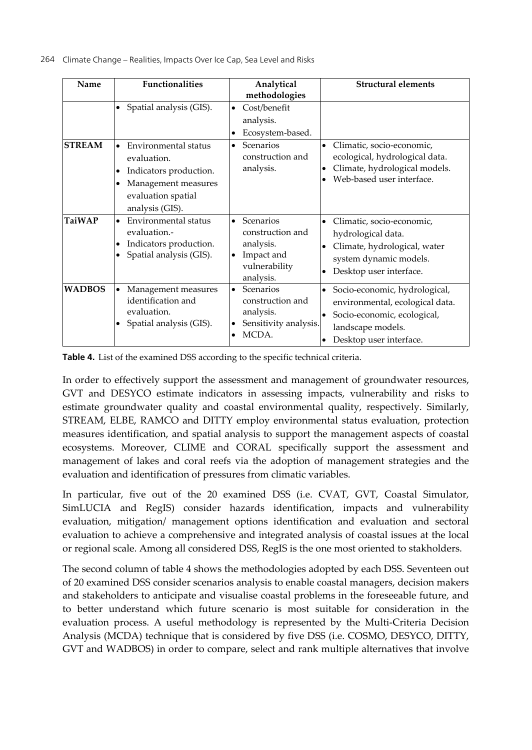| Name          | <b>Functionalities</b>                                                                                                                               | Analytical<br>methodologies                                                                                      | <b>Structural elements</b>                                                                                                                                             |
|---------------|------------------------------------------------------------------------------------------------------------------------------------------------------|------------------------------------------------------------------------------------------------------------------|------------------------------------------------------------------------------------------------------------------------------------------------------------------------|
|               | Spatial analysis (GIS).<br>$\bullet$                                                                                                                 | Cost/benefit<br>$\bullet$<br>analysis.<br>Ecosystem-based.                                                       |                                                                                                                                                                        |
| <b>STREAM</b> | Environmental status<br>$\bullet$<br>evaluation.<br>Indicators production.<br>٠<br>Management measures<br>٠<br>evaluation spatial<br>analysis (GIS). | Scenarios<br>$\bullet$<br>construction and<br>analysis.                                                          | Climatic, socio-economic,<br>$\bullet$<br>ecological, hydrological data.<br>Climate, hydrological models.<br>٠<br>Web-based user interface.                            |
| <b>TaiWAP</b> | <b>Environmental status</b><br>$\bullet$<br>evaluation.-<br>Indicators production.<br>٠<br>Spatial analysis (GIS).<br>$\bullet$                      | Scenarios<br>$\bullet$<br>construction and<br>analysis.<br>Impact and<br>$\bullet$<br>vulnerability<br>analysis. | Climatic, socio-economic,<br>٠<br>hydrological data.<br>Climate, hydrological, water<br>$\bullet$<br>system dynamic models.<br>Desktop user interface.<br>٠            |
| <b>WADBOS</b> | Management measures<br>$\bullet$<br>identification and<br>evaluation.<br>Spatial analysis (GIS).<br>٠                                                | Scenarios<br>$\bullet$<br>construction and<br>analysis.<br>Sensitivity analysis.<br>MCDA.<br>$\bullet$           | Socio-economic, hydrological,<br>٠<br>environmental, ecological data.<br>Socio-economic, ecological,<br>$\bullet$<br>landscape models.<br>Desktop user interface.<br>٠ |

**Table 4.** List of the examined DSS according to the specific technical criteria.

In order to effectively support the assessment and management of groundwater resources, GVT and DESYCO estimate indicators in assessing impacts, vulnerability and risks to estimate groundwater quality and coastal environmental quality, respectively. Similarly, STREAM, ELBE, RAMCO and DITTY employ environmental status evaluation, protection measures identification, and spatial analysis to support the management aspects of coastal ecosystems. Moreover, CLIME and CORAL specifically support the assessment and management of lakes and coral reefs via the adoption of management strategies and the evaluation and identification of pressures from climatic variables.

In particular, five out of the 20 examined DSS (i.e. CVAT, GVT, Coastal Simulator, SimLUCIA and RegIS) consider hazards identification, impacts and vulnerability evaluation, mitigation/ management options identification and evaluation and sectoral evaluation to achieve a comprehensive and integrated analysis of coastal issues at the local or regional scale. Among all considered DSS, RegIS is the one most oriented to stakholders.

The second column of table 4 shows the methodologies adopted by each DSS. Seventeen out of 20 examined DSS consider scenarios analysis to enable coastal managers, decision makers and stakeholders to anticipate and visualise coastal problems in the foreseeable future, and to better understand which future scenario is most suitable for consideration in the evaluation process. A useful methodology is represented by the Multi-Criteria Decision Analysis (MCDA) technique that is considered by five DSS (i.e. COSMO, DESYCO, DITTY, GVT and WADBOS) in order to compare, select and rank multiple alternatives that involve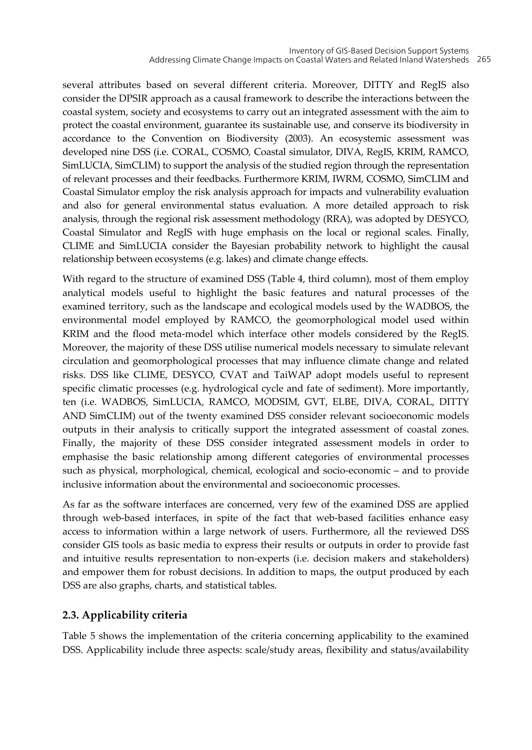several attributes based on several different criteria. Moreover, DITTY and RegIS also consider the DPSIR approach as a causal framework to describe the interactions between the coastal system, society and ecosystems to carry out an integrated assessment with the aim to protect the coastal environment, guarantee its sustainable use, and conserve its biodiversity in accordance to the Convention on Biodiversity (2003). An ecosystemic assessment was developed nine DSS (i.e. CORAL, COSMO, Coastal simulator, DIVA, RegIS, KRIM, RAMCO, SimLUCIA, SimCLIM) to support the analysis of the studied region through the representation of relevant processes and their feedbacks. Furthermore KRIM, IWRM, COSMO, SimCLIM and Coastal Simulator employ the risk analysis approach for impacts and vulnerability evaluation and also for general environmental status evaluation. A more detailed approach to risk analysis, through the regional risk assessment methodology (RRA), was adopted by DESYCO, Coastal Simulator and RegIS with huge emphasis on the local or regional scales. Finally, CLIME and SimLUCIA consider the Bayesian probability network to highlight the causal relationship between ecosystems (e.g. lakes) and climate change effects.

With regard to the structure of examined DSS (Table 4, third column), most of them employ analytical models useful to highlight the basic features and natural processes of the examined territory, such as the landscape and ecological models used by the WADBOS, the environmental model employed by RAMCO, the geomorphological model used within KRIM and the flood meta-model which interface other models considered by the RegIS. Moreover, the majority of these DSS utilise numerical models necessary to simulate relevant circulation and geomorphological processes that may influence climate change and related risks. DSS like CLIME, DESYCO, CVAT and TaiWAP adopt models useful to represent specific climatic processes (e.g. hydrological cycle and fate of sediment). More importantly, ten (i.e. WADBOS, SimLUCIA, RAMCO, MODSIM, GVT, ELBE, DIVA, CORAL, DITTY AND SimCLIM) out of the twenty examined DSS consider relevant socioeconomic models outputs in their analysis to critically support the integrated assessment of coastal zones. Finally, the majority of these DSS consider integrated assessment models in order to emphasise the basic relationship among different categories of environmental processes such as physical, morphological, chemical, ecological and socio-economic – and to provide inclusive information about the environmental and socioeconomic processes.

As far as the software interfaces are concerned, very few of the examined DSS are applied through web-based interfaces, in spite of the fact that web-based facilities enhance easy access to information within a large network of users. Furthermore, all the reviewed DSS consider GIS tools as basic media to express their results or outputs in order to provide fast and intuitive results representation to non-experts (i.e. decision makers and stakeholders) and empower them for robust decisions. In addition to maps, the output produced by each DSS are also graphs, charts, and statistical tables.

### **2.3. Applicability criteria**

Table 5 shows the implementation of the criteria concerning applicability to the examined DSS. Applicability include three aspects: scale/study areas, flexibility and status/availability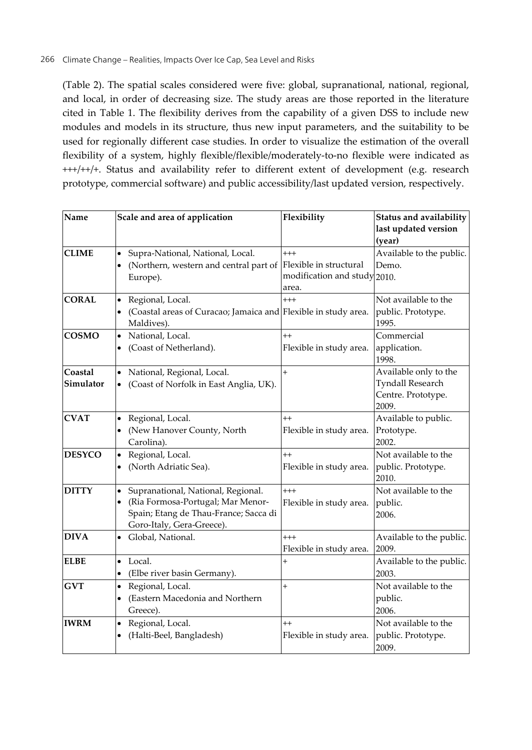(Table 2). The spatial scales considered were five: global, supranational, national, regional, and local, in order of decreasing size. The study areas are those reported in the literature cited in Table 1. The flexibility derives from the capability of a given DSS to include new modules and models in its structure, thus new input parameters, and the suitability to be used for regionally different case studies. In order to visualize the estimation of the overall flexibility of a system, highly flexible/flexible/moderately-to-no flexible were indicated as +++/++/+. Status and availability refer to different extent of development (e.g. research prototype, commercial software) and public accessibility/last updated version, respectively.

| Name          | Scale and area of application                                       | Flexibility                  | Status and availability  |
|---------------|---------------------------------------------------------------------|------------------------------|--------------------------|
|               |                                                                     |                              | last updated version     |
|               |                                                                     |                              | (year)                   |
| <b>CLIME</b>  | Supra-National, National, Local.<br>$\bullet$                       | $^{+++}$                     | Available to the public. |
|               | (Northern, western and central part of<br>٠                         | Flexible in structural       | Demo.                    |
|               | Europe).                                                            | modification and study 2010. |                          |
|               |                                                                     | area.                        |                          |
| <b>CORAL</b>  | Regional, Local.<br>$\bullet$                                       | $^{+++}$                     | Not available to the     |
|               | (Coastal areas of Curacao; Jamaica and Flexible in study area.<br>٠ |                              | public. Prototype.       |
|               | Maldives).                                                          |                              | 1995.                    |
| COSMO         | National, Local.<br>$\bullet$                                       | $^{++}$                      | Commercial               |
|               | (Coast of Netherland).<br>$\bullet$                                 | Flexible in study area.      | application.             |
|               |                                                                     |                              | 1998.                    |
| Coastal       | National, Regional, Local.<br>$\bullet$                             | $^{+}$                       | Available only to the    |
| Simulator     | (Coast of Norfolk in East Anglia, UK).<br>٠                         |                              | <b>Tyndall Research</b>  |
|               |                                                                     |                              | Centre. Prototype.       |
|               |                                                                     |                              | 2009.                    |
| <b>CVAT</b>   | Regional, Local.<br>$\bullet$                                       | $^{++}$                      | Available to public.     |
|               | (New Hanover County, North                                          | Flexible in study area.      | Prototype.               |
|               | Carolina).                                                          |                              | 2002.                    |
| <b>DESYCO</b> | Regional, Local.<br>$\bullet$                                       | $^{++}$                      | Not available to the     |
|               | (North Adriatic Sea).<br>٠                                          | Flexible in study area.      | public. Prototype.       |
|               |                                                                     |                              | 2010.                    |
| <b>DITTY</b>  | Supranational, National, Regional.<br>$\bullet$                     | $^{+++}$                     | Not available to the     |
|               | (Ria Formosa-Portugal; Mar Menor-<br>٠                              | Flexible in study area.      | public.                  |
|               | Spain; Etang de Thau-France; Sacca di                               |                              | 2006.                    |
|               | Goro-Italy, Gera-Greece).                                           |                              |                          |
| <b>DIVA</b>   | Global, National.<br>٠                                              | $^{+++}$                     | Available to the public. |
|               |                                                                     | Flexible in study area.      | 2009.                    |
| <b>ELBE</b>   | Local.<br>$\bullet$                                                 | $\overline{+}$               | Available to the public. |
|               | (Elbe river basin Germany).<br>٠                                    |                              | 2003.                    |
| <b>GVT</b>    | Regional, Local.<br>$\bullet$                                       | $^{+}$                       | Not available to the     |
|               | (Eastern Macedonia and Northern<br>$\bullet$                        |                              | public.                  |
|               | Greece).                                                            |                              | 2006.                    |
| <b>IWRM</b>   | Regional, Local.<br>$\bullet$                                       | $^{++}$                      | Not available to the     |
|               | (Halti-Beel, Bangladesh)<br>$\bullet$                               | Flexible in study area.      | public. Prototype.       |
|               |                                                                     |                              | 2009.                    |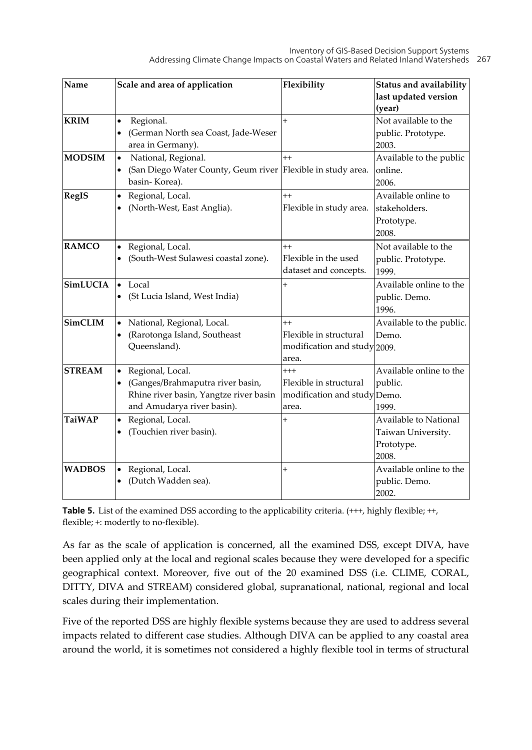Inventory of GIS-Based Decision Support Systems

Addressing Climate Change Impacts on Coastal Waters and Related Inland Watersheds 267

| Name            | Scale and area of application                                                                                                                          | Flexibility                                                                 | Status and availability<br>last updated version<br>(year)          |
|-----------------|--------------------------------------------------------------------------------------------------------------------------------------------------------|-----------------------------------------------------------------------------|--------------------------------------------------------------------|
| <b>KRIM</b>     | Regional.<br>$\bullet$<br>(German North sea Coast, Jade-Weser<br>$\bullet$<br>area in Germany).                                                        | $\ddot{}$                                                                   | Not available to the<br>public. Prototype.<br>2003.                |
| <b>MODSIM</b>   | National, Regional.<br>$\bullet$<br>(San Diego Water County, Geum river Flexible in study area.<br>٠<br>basin-Korea).                                  | $^{++}$                                                                     | Available to the public<br>online.<br>2006.                        |
| <b>RegIS</b>    | Regional, Local.<br>$\bullet$<br>(North-West, East Anglia).<br>$\bullet$                                                                               | $^{++}$<br>Flexible in study area.                                          | Available online to<br>stakeholders.<br>Prototype.<br>2008.        |
| <b>RAMCO</b>    | Regional, Local.<br>$\bullet$<br>(South-West Sulawesi coastal zone).<br>$\bullet$                                                                      | $^{++}$<br>Flexible in the used<br>dataset and concepts.                    | Not available to the<br>public. Prototype.<br>1999.                |
| <b>SimLUCIA</b> | Local<br>l.<br>(St Lucia Island, West India)<br>$\bullet$                                                                                              | $\ddot{}$                                                                   | Available online to the<br>public. Demo.<br>1996.                  |
| <b>SimCLIM</b>  | National, Regional, Local.<br>$\bullet$<br>(Rarotonga Island, Southeast<br>٠<br>Queensland).                                                           | $^{++}$<br>Flexible in structural<br>modification and study 2009.<br>area.  | Available to the public.<br>Demo.                                  |
| <b>STREAM</b>   | Regional, Local.<br>$\bullet$<br>(Ganges/Brahmaputra river basin,<br>$\bullet$<br>Rhine river basin, Yangtze river basin<br>and Amudarya river basin). | $^{+++}$<br>Flexible in structural<br>modification and study Demo.<br>area. | Available online to the<br>public.<br>1999.                        |
| <b>TaiWAP</b>   | Regional, Local.<br>$\bullet$<br>(Touchien river basin).<br>٠                                                                                          | $\ddot{}$                                                                   | Available to National<br>Taiwan University.<br>Prototype.<br>2008. |
| <b>WADBOS</b>   | Regional, Local.<br>$\bullet$<br>(Dutch Wadden sea).<br>٠                                                                                              | $\ddot{}$                                                                   | Available online to the<br>public. Demo.<br>2002.                  |

**Table 5.** List of the examined DSS according to the applicability criteria. (+++, highly flexible; ++, flexible; +: modertly to no-flexible).

As far as the scale of application is concerned, all the examined DSS, except DIVA, have been applied only at the local and regional scales because they were developed for a specific geographical context. Moreover, five out of the 20 examined DSS (i.e. CLIME, CORAL, DITTY, DIVA and STREAM) considered global, supranational, national, regional and local scales during their implementation.

Five of the reported DSS are highly flexible systems because they are used to address several impacts related to different case studies. Although DIVA can be applied to any coastal area around the world, it is sometimes not considered a highly flexible tool in terms of structural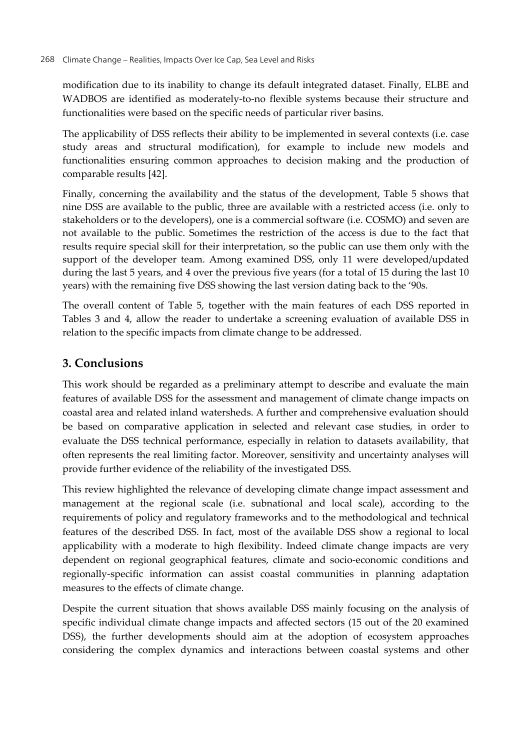modification due to its inability to change its default integrated dataset. Finally, ELBE and WADBOS are identified as moderately-to-no flexible systems because their structure and functionalities were based on the specific needs of particular river basins.

The applicability of DSS reflects their ability to be implemented in several contexts (i.e. case study areas and structural modification), for example to include new models and functionalities ensuring common approaches to decision making and the production of comparable results [42].

Finally, concerning the availability and the status of the development, Table 5 shows that nine DSS are available to the public, three are available with a restricted access (i.e. only to stakeholders or to the developers), one is a commercial software (i.e. COSMO) and seven are not available to the public. Sometimes the restriction of the access is due to the fact that results require special skill for their interpretation, so the public can use them only with the support of the developer team. Among examined DSS, only 11 were developed/updated during the last 5 years, and 4 over the previous five years (for a total of 15 during the last 10 years) with the remaining five DSS showing the last version dating back to the '90s.

The overall content of Table 5, together with the main features of each DSS reported in Tables 3 and 4, allow the reader to undertake a screening evaluation of available DSS in relation to the specific impacts from climate change to be addressed.

## **3. Conclusions**

This work should be regarded as a preliminary attempt to describe and evaluate the main features of available DSS for the assessment and management of climate change impacts on coastal area and related inland watersheds. A further and comprehensive evaluation should be based on comparative application in selected and relevant case studies, in order to evaluate the DSS technical performance, especially in relation to datasets availability, that often represents the real limiting factor. Moreover, sensitivity and uncertainty analyses will provide further evidence of the reliability of the investigated DSS.

This review highlighted the relevance of developing climate change impact assessment and management at the regional scale (i.e. subnational and local scale), according to the requirements of policy and regulatory frameworks and to the methodological and technical features of the described DSS. In fact, most of the available DSS show a regional to local applicability with a moderate to high flexibility. Indeed climate change impacts are very dependent on regional geographical features, climate and socio-economic conditions and regionally-specific information can assist coastal communities in planning adaptation measures to the effects of climate change.

Despite the current situation that shows available DSS mainly focusing on the analysis of specific individual climate change impacts and affected sectors (15 out of the 20 examined DSS), the further developments should aim at the adoption of ecosystem approaches considering the complex dynamics and interactions between coastal systems and other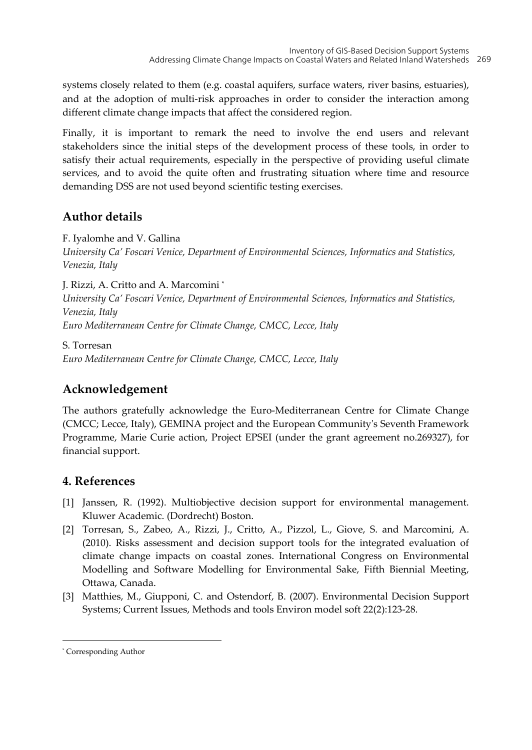systems closely related to them (e.g. coastal aquifers, surface waters, river basins, estuaries), and at the adoption of multi-risk approaches in order to consider the interaction among different climate change impacts that affect the considered region.

Finally, it is important to remark the need to involve the end users and relevant stakeholders since the initial steps of the development process of these tools, in order to satisfy their actual requirements, especially in the perspective of providing useful climate services, and to avoid the quite often and frustrating situation where time and resource demanding DSS are not used beyond scientific testing exercises.

# **Author details**

F. Iyalomhe and V. Gallina *University Ca' Foscari Venice, Department of Environmental Sciences, Informatics and Statistics, Venezia, Italy* 

J. Rizzi, A. Critto and A. Marcomini \* *University Ca' Foscari Venice, Department of Environmental Sciences, Informatics and Statistics, Venezia, Italy Euro Mediterranean Centre for Climate Change, CMCC, Lecce, Italy* 

S. Torresan *Euro Mediterranean Centre for Climate Change, CMCC, Lecce, Italy* 

# **Acknowledgement**

The authors gratefully acknowledge the Euro-Mediterranean Centre for Climate Change (CMCC; Lecce, Italy), GEMINA project and the European Community's Seventh Framework Programme, Marie Curie action, Project EPSEI (under the grant agreement no.269327), for financial support.

## **4. References**

- [1] Janssen, R. (1992). Multiobjective decision support for environmental management. Kluwer Academic. (Dordrecht) Boston.
- [2] Torresan, S., Zabeo, A., Rizzi, J., Critto, A., Pizzol, L., Giove, S. and Marcomini, A. (2010). Risks assessment and decision support tools for the integrated evaluation of climate change impacts on coastal zones. International Congress on Environmental Modelling and Software Modelling for Environmental Sake, Fifth Biennial Meeting, Ottawa, Canada.
- [3] Matthies, M., Giupponi, C. and Ostendorf, B. (2007). Environmental Decision Support Systems; Current Issues, Methods and tools Environ model soft 22(2):123-28.

j

<sup>\*</sup> Corresponding Author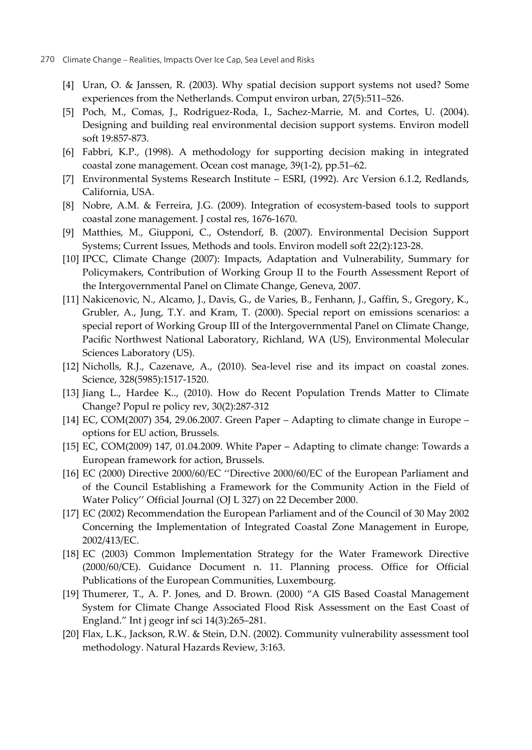- 270 Climate Change Realities, Impacts Over Ice Cap, Sea Level and Risks
	- [4] Uran, O. & Janssen, R. (2003). Why spatial decision support systems not used? Some experiences from the Netherlands. Comput environ urban, 27(5):511–526.
	- [5] Poch, M., Comas, J., Rodriguez-Roda, I., Sachez-Marrie, M. and Cortes, U. (2004). Designing and building real environmental decision support systems. Environ modell soft 19:857-873.
	- [6] Fabbri, K.P., (1998). A methodology for supporting decision making in integrated coastal zone management. Ocean cost manage, 39(1-2), pp.51–62.
	- [7] Environmental Systems Research Institute ESRI, (1992). Arc Version 6.1.2, Redlands, California, USA.
	- [8] Nobre, A.M. & Ferreira, J.G. (2009). Integration of ecosystem-based tools to support coastal zone management. J costal res, 1676-1670.
	- [9] Matthies, M., Giupponi, C., Ostendorf, B. (2007). Environmental Decision Support Systems; Current Issues, Methods and tools. Environ modell soft 22(2):123-28.
	- [10] IPCC, Climate Change (2007): Impacts, Adaptation and Vulnerability, Summary for Policymakers, Contribution of Working Group II to the Fourth Assessment Report of the Intergovernmental Panel on Climate Change, Geneva, 2007.
	- [11] Nakicenovic, N., Alcamo, J., Davis, G., de Varies, B., Fenhann, J., Gaffin, S., Gregory, K., Grubler, A., Jung, T.Y. and Kram, T. (2000). Special report on emissions scenarios: a special report of Working Group III of the Intergovernmental Panel on Climate Change, Pacific Northwest National Laboratory, Richland, WA (US), Environmental Molecular Sciences Laboratory (US).
	- [12] Nicholls, R.J., Cazenave, A., (2010). Sea-level rise and its impact on coastal zones. Science, 328(5985):1517-1520.
	- [13] Jiang L., Hardee K.., (2010). How do Recent Population Trends Matter to Climate Change? Popul re policy rev, 30(2):287-312
	- [14] EC, COM(2007) 354, 29.06.2007. Green Paper Adapting to climate change in Europe options for EU action, Brussels.
	- [15] EC, COM(2009) 147, 01.04.2009. White Paper Adapting to climate change: Towards a European framework for action, Brussels.
	- [16] EC (2000) Directive 2000/60/EC ''Directive 2000/60/EC of the European Parliament and of the Council Establishing a Framework for the Community Action in the Field of Water Policy'' Official Journal (OJ L 327) on 22 December 2000.
	- [17] EC (2002) Recommendation the European Parliament and of the Council of 30 May 2002 Concerning the Implementation of Integrated Coastal Zone Management in Europe, 2002/413/EC.
	- [18] EC (2003) Common Implementation Strategy for the Water Framework Directive (2000/60/CE). Guidance Document n. 11. Planning process. Office for Official Publications of the European Communities, Luxembourg.
	- [19] Thumerer, T., A. P. Jones, and D. Brown. (2000) "A GIS Based Coastal Management System for Climate Change Associated Flood Risk Assessment on the East Coast of England." Int j geogr inf sci 14(3):265–281.
	- [20] Flax, L.K., Jackson, R.W. & Stein, D.N. (2002). Community vulnerability assessment tool methodology. Natural Hazards Review, 3:163.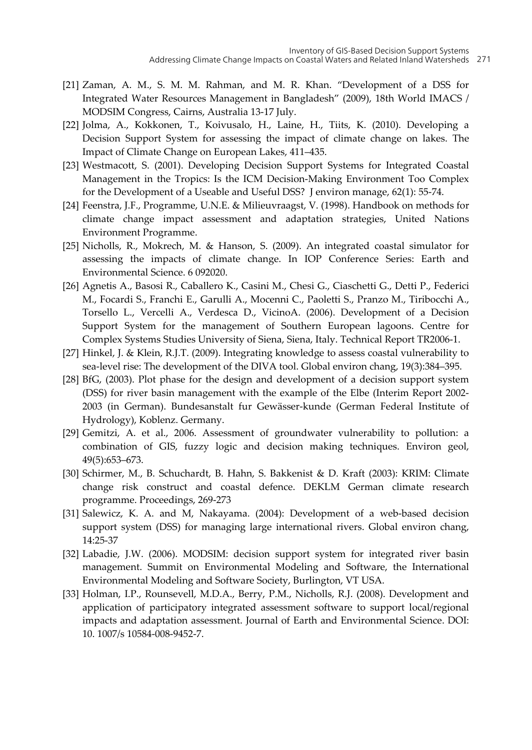- [21] Zaman, A. M., S. M. M. Rahman, and M. R. Khan. "Development of a DSS for Integrated Water Resources Management in Bangladesh" (2009), 18th World IMACS / MODSIM Congress, Cairns, Australia 13-17 July.
- [22] Jolma, A., Kokkonen, T., Koivusalo, H., Laine, H., Tiits, K. (2010). Developing a Decision Support System for assessing the impact of climate change on lakes. The Impact of Climate Change on European Lakes, 411–435.
- [23] Westmacott, S. (2001). Developing Decision Support Systems for Integrated Coastal Management in the Tropics: Is the ICM Decision-Making Environment Too Complex for the Development of a Useable and Useful DSS? J environ manage, 62(1): 55-74.
- [24] Feenstra, J.F., Programme, U.N.E. & Milieuvraagst, V. (1998). Handbook on methods for climate change impact assessment and adaptation strategies, United Nations Environment Programme.
- [25] Nicholls, R., Mokrech, M. & Hanson, S. (2009). An integrated coastal simulator for assessing the impacts of climate change. In IOP Conference Series: Earth and Environmental Science. 6 092020.
- [26] Agnetis A., Basosi R., Caballero K., Casini M., Chesi G., Ciaschetti G., Detti P., Federici M., Focardi S., Franchi E., Garulli A., Mocenni C., Paoletti S., Pranzo M., Tiribocchi A., Torsello L., Vercelli A., Verdesca D., VicinoA. (2006). Development of a Decision Support System for the management of Southern European lagoons. Centre for Complex Systems Studies University of Siena, Siena, Italy. Technical Report TR2006-1.
- [27] Hinkel, J. & Klein, R.J.T. (2009). Integrating knowledge to assess coastal vulnerability to sea-level rise: The development of the DIVA tool. Global environ chang, 19(3):384–395.
- [28] BfG, (2003). Plot phase for the design and development of a decision support system (DSS) for river basin management with the example of the Elbe (Interim Report 2002- 2003 (in German). Bundesanstalt fur Gewässer-kunde (German Federal Institute of Hydrology), Koblenz. Germany.
- [29] Gemitzi, A. et al., 2006. Assessment of groundwater vulnerability to pollution: a combination of GIS, fuzzy logic and decision making techniques. Environ geol, 49(5):653–673.
- [30] Schirmer, M., B. Schuchardt, B. Hahn, S. Bakkenist & D. Kraft (2003): KRIM: Climate change risk construct and coastal defence. DEKLM German climate research programme. Proceedings, 269-273
- [31] Salewicz, K. A. and M, Nakayama. (2004): Development of a web-based decision support system (DSS) for managing large international rivers. Global environ chang, 14:25-37
- [32] Labadie, J.W. (2006). MODSIM: decision support system for integrated river basin management. Summit on Environmental Modeling and Software, the International Environmental Modeling and Software Society, Burlington, VT USA.
- [33] Holman, I.P., Rounsevell, M.D.A., Berry, P.M., Nicholls, R.J. (2008). Development and application of participatory integrated assessment software to support local/regional impacts and adaptation assessment. Journal of Earth and Environmental Science. DOI: 10. 1007/s 10584-008-9452-7.